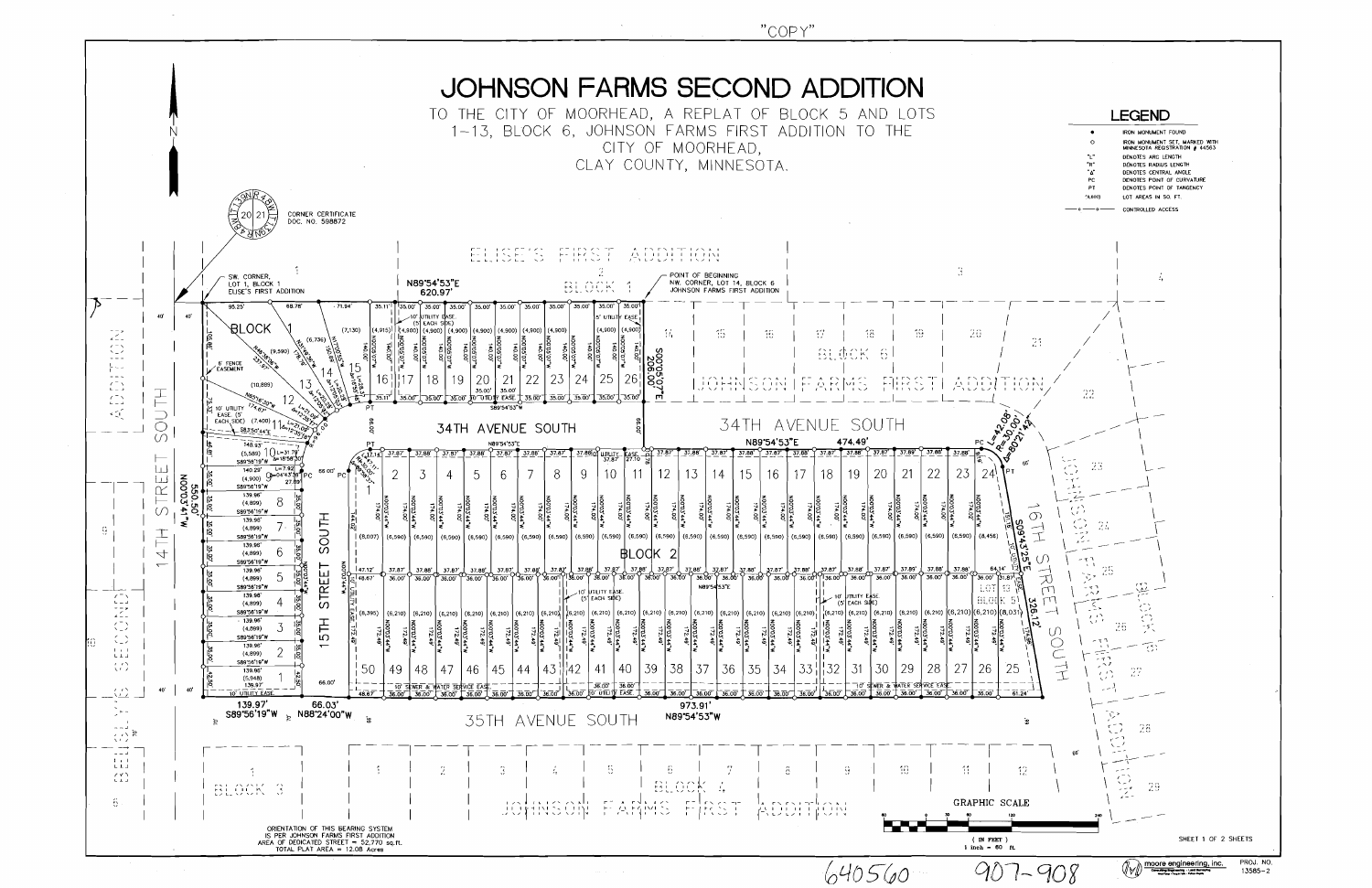